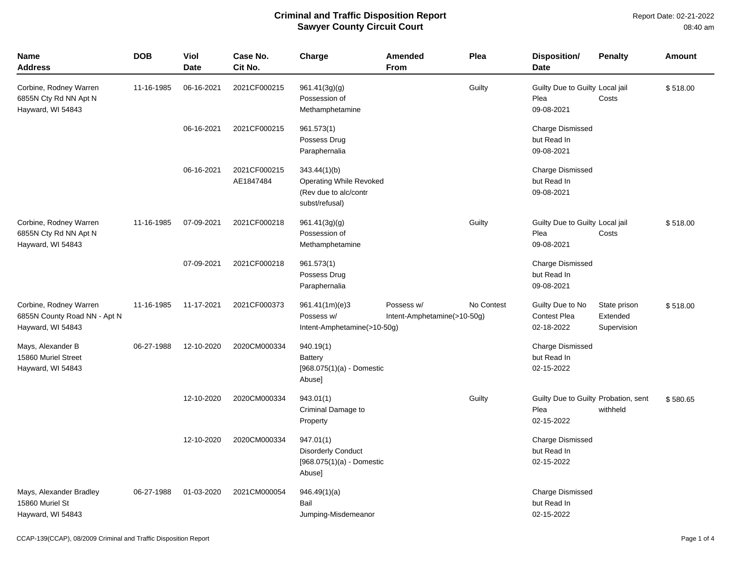| <b>Name</b><br><b>Address</b>                                               | <b>DOB</b> | Viol<br><b>Date</b> | Case No.<br>Cit No.       | Charge                                                                                    | <b>Amended</b><br>From                    | Plea       | Disposition/<br><b>Date</b>                                | <b>Penalty</b>                          | <b>Amount</b> |
|-----------------------------------------------------------------------------|------------|---------------------|---------------------------|-------------------------------------------------------------------------------------------|-------------------------------------------|------------|------------------------------------------------------------|-----------------------------------------|---------------|
| Corbine, Rodney Warren<br>6855N Cty Rd NN Apt N<br>Hayward, WI 54843        | 11-16-1985 | 06-16-2021          | 2021CF000215              | 961.41(3g)(g)<br>Possession of<br>Methamphetamine                                         |                                           | Guilty     | Guilty Due to Guilty Local jail<br>Plea<br>09-08-2021      | Costs                                   | \$518.00      |
|                                                                             |            | 06-16-2021          | 2021CF000215              | 961.573(1)<br>Possess Drug<br>Paraphernalia                                               |                                           |            | <b>Charge Dismissed</b><br>but Read In<br>09-08-2021       |                                         |               |
|                                                                             |            | 06-16-2021          | 2021CF000215<br>AE1847484 | 343.44(1)(b)<br><b>Operating While Revoked</b><br>(Rev due to alc/contr<br>subst/refusal) |                                           |            | <b>Charge Dismissed</b><br>but Read In<br>09-08-2021       |                                         |               |
| Corbine, Rodney Warren<br>6855N Cty Rd NN Apt N<br>Hayward, WI 54843        | 11-16-1985 | 07-09-2021          | 2021CF000218              | 961.41(3g)(g)<br>Possession of<br>Methamphetamine                                         |                                           | Guilty     | Guilty Due to Guilty Local jail<br>Plea<br>09-08-2021      | Costs                                   | \$518.00      |
|                                                                             |            | 07-09-2021          | 2021CF000218              | 961.573(1)<br>Possess Drug<br>Paraphernalia                                               |                                           |            | <b>Charge Dismissed</b><br>but Read In<br>09-08-2021       |                                         |               |
| Corbine, Rodney Warren<br>6855N County Road NN - Apt N<br>Hayward, WI 54843 | 11-16-1985 | 11-17-2021          | 2021CF000373              | 961.41(1m)(e)3<br>Possess w/<br>Intent-Amphetamine(>10-50g)                               | Possess w/<br>Intent-Amphetamine(>10-50g) | No Contest | Guilty Due to No<br><b>Contest Plea</b><br>02-18-2022      | State prison<br>Extended<br>Supervision | \$518.00      |
| Mays, Alexander B<br>15860 Muriel Street<br>Hayward, WI 54843               | 06-27-1988 | 12-10-2020          | 2020CM000334              | 940.19(1)<br><b>Battery</b><br>$[968.075(1)(a) -$ Domestic<br>Abuse]                      |                                           |            | <b>Charge Dismissed</b><br>but Read In<br>02-15-2022       |                                         |               |
|                                                                             |            | 12-10-2020          | 2020CM000334              | 943.01(1)<br>Criminal Damage to<br>Property                                               |                                           | Guilty     | Guilty Due to Guilty Probation, sent<br>Plea<br>02-15-2022 | withheld                                | \$580.65      |
|                                                                             |            | 12-10-2020          | 2020CM000334              | 947.01(1)<br><b>Disorderly Conduct</b><br>$[968.075(1)(a) -$ Domestic<br>Abuse]           |                                           |            | <b>Charge Dismissed</b><br>but Read In<br>02-15-2022       |                                         |               |
| Mays, Alexander Bradley<br>15860 Muriel St<br>Hayward, WI 54843             | 06-27-1988 | 01-03-2020          | 2021CM000054              | 946.49(1)(a)<br>Bail<br>Jumping-Misdemeanor                                               |                                           |            | <b>Charge Dismissed</b><br>but Read In<br>02-15-2022       |                                         |               |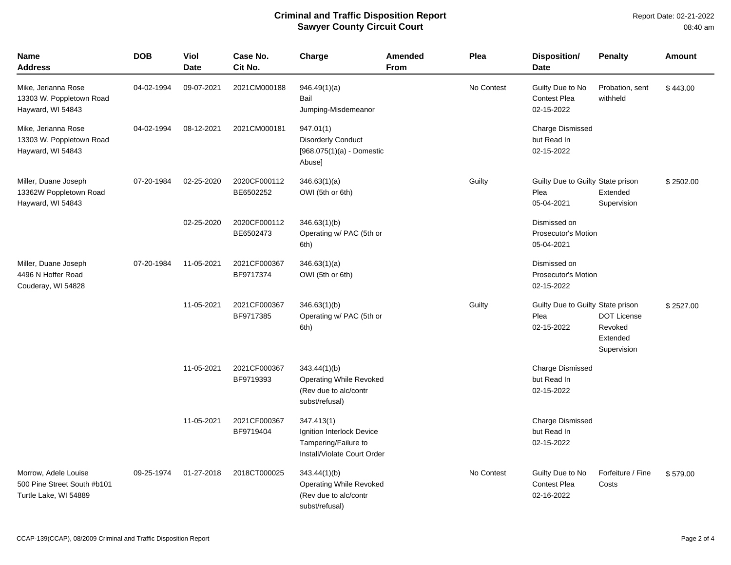| Name<br>Address                                                              | <b>DOB</b> | <b>Viol</b><br><b>Date</b> | Case No.<br>Cit No.       | Charge                                                                                         | <b>Amended</b><br><b>From</b> | Plea       | <b>Disposition/</b><br>Date                              | <b>Penalty</b>                                           | <b>Amount</b> |
|------------------------------------------------------------------------------|------------|----------------------------|---------------------------|------------------------------------------------------------------------------------------------|-------------------------------|------------|----------------------------------------------------------|----------------------------------------------------------|---------------|
| Mike, Jerianna Rose<br>13303 W. Poppletown Road<br>Hayward, WI 54843         | 04-02-1994 | 09-07-2021                 | 2021CM000188              | 946.49(1)(a)<br>Bail<br>Jumping-Misdemeanor                                                    |                               | No Contest | Guilty Due to No<br><b>Contest Plea</b><br>02-15-2022    | Probation, sent<br>withheld                              | \$443.00      |
| Mike, Jerianna Rose<br>13303 W. Poppletown Road<br>Hayward, WI 54843         | 04-02-1994 | 08-12-2021                 | 2021CM000181              | 947.01(1)<br><b>Disorderly Conduct</b><br>$[968.075(1)(a) -$ Domestic<br>Abuse]                |                               |            | Charge Dismissed<br>but Read In<br>02-15-2022            |                                                          |               |
| Miller, Duane Joseph<br>13362W Poppletown Road<br>Hayward, WI 54843          | 07-20-1984 | 02-25-2020                 | 2020CF000112<br>BE6502252 | 346.63(1)(a)<br>OWI (5th or 6th)                                                               |                               | Guilty     | Guilty Due to Guilty State prison<br>Plea<br>05-04-2021  | Extended<br>Supervision                                  | \$2502.00     |
|                                                                              |            | 02-25-2020                 | 2020CF000112<br>BE6502473 | 346.63(1)(b)<br>Operating w/ PAC (5th or<br>6th)                                               |                               |            | Dismissed on<br><b>Prosecutor's Motion</b><br>05-04-2021 |                                                          |               |
| Miller, Duane Joseph<br>4496 N Hoffer Road<br>Couderay, WI 54828             | 07-20-1984 | 11-05-2021                 | 2021CF000367<br>BF9717374 | 346.63(1)(a)<br>OWI (5th or 6th)                                                               |                               |            | Dismissed on<br><b>Prosecutor's Motion</b><br>02-15-2022 |                                                          |               |
|                                                                              |            | 11-05-2021                 | 2021CF000367<br>BF9717385 | 346.63(1)(b)<br>Operating w/ PAC (5th or<br>6th)                                               |                               | Guilty     | Guilty Due to Guilty State prison<br>Plea<br>02-15-2022  | <b>DOT License</b><br>Revoked<br>Extended<br>Supervision | \$2527.00     |
|                                                                              |            | 11-05-2021                 | 2021CF000367<br>BF9719393 | 343.44(1)(b)<br>Operating While Revoked<br>(Rev due to alc/contr<br>subst/refusal)             |                               |            | Charge Dismissed<br>but Read In<br>02-15-2022            |                                                          |               |
|                                                                              |            | 11-05-2021                 | 2021CF000367<br>BF9719404 | 347.413(1)<br>Ignition Interlock Device<br>Tampering/Failure to<br>Install/Violate Court Order |                               |            | <b>Charge Dismissed</b><br>but Read In<br>02-15-2022     |                                                          |               |
| Morrow, Adele Louise<br>500 Pine Street South #b101<br>Turtle Lake, WI 54889 | 09-25-1974 | 01-27-2018                 | 2018CT000025              | 343.44(1)(b)<br>Operating While Revoked<br>(Rev due to alc/contr<br>subst/refusal)             |                               | No Contest | Guilty Due to No<br><b>Contest Plea</b><br>02-16-2022    | Forfeiture / Fine<br>Costs                               | \$579.00      |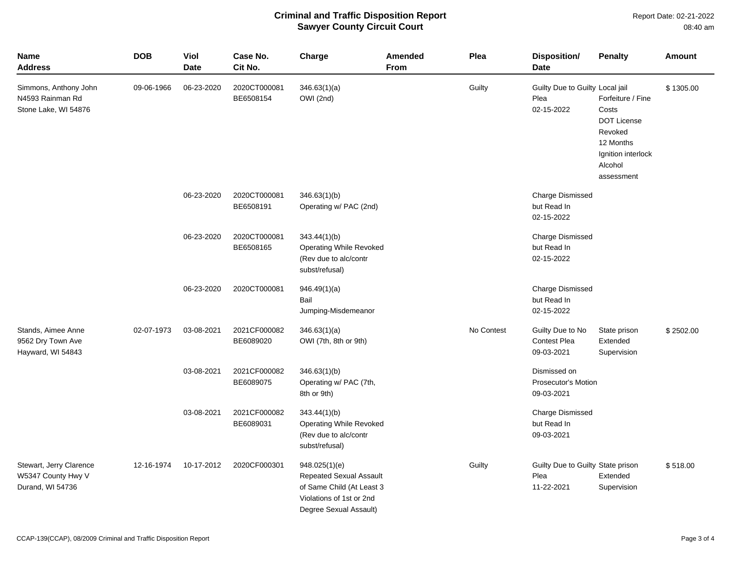Report Date: 02-21-2022 08:40 am

| <b>Name</b><br><b>Address</b>                                     | <b>DOB</b> | Viol<br><b>Date</b> | Case No.<br>Cit No.       | Charge                                                                                                                      | <b>Amended</b><br><b>From</b> | Plea       | <b>Disposition/</b><br><b>Date</b>                      | <b>Penalty</b>                                                                                                          | <b>Amount</b> |
|-------------------------------------------------------------------|------------|---------------------|---------------------------|-----------------------------------------------------------------------------------------------------------------------------|-------------------------------|------------|---------------------------------------------------------|-------------------------------------------------------------------------------------------------------------------------|---------------|
| Simmons, Anthony John<br>N4593 Rainman Rd<br>Stone Lake, WI 54876 | 09-06-1966 | 06-23-2020          | 2020CT000081<br>BE6508154 | 346.63(1)(a)<br>OWI (2nd)                                                                                                   |                               | Guilty     | Guilty Due to Guilty Local jail<br>Plea<br>02-15-2022   | Forfeiture / Fine<br>Costs<br><b>DOT License</b><br>Revoked<br>12 Months<br>Ignition interlock<br>Alcohol<br>assessment | \$1305.00     |
|                                                                   |            | 06-23-2020          | 2020CT000081<br>BE6508191 | 346.63(1)(b)<br>Operating w/ PAC (2nd)                                                                                      |                               |            | <b>Charge Dismissed</b><br>but Read In<br>02-15-2022    |                                                                                                                         |               |
|                                                                   |            | 06-23-2020          | 2020CT000081<br>BE6508165 | 343.44(1)(b)<br>Operating While Revoked<br>(Rev due to alc/contr<br>subst/refusal)                                          |                               |            | Charge Dismissed<br>but Read In<br>02-15-2022           |                                                                                                                         |               |
|                                                                   |            | 06-23-2020          | 2020CT000081              | 946.49(1)(a)<br>Bail<br>Jumping-Misdemeanor                                                                                 |                               |            | Charge Dismissed<br>but Read In<br>02-15-2022           |                                                                                                                         |               |
| Stands, Aimee Anne<br>9562 Dry Town Ave<br>Hayward, WI 54843      | 02-07-1973 | 03-08-2021          | 2021CF000082<br>BE6089020 | 346.63(1)(a)<br>OWI (7th, 8th or 9th)                                                                                       |                               | No Contest | Guilty Due to No<br><b>Contest Plea</b><br>09-03-2021   | State prison<br>Extended<br>Supervision                                                                                 | \$2502.00     |
|                                                                   |            | 03-08-2021          | 2021CF000082<br>BE6089075 | 346.63(1)(b)<br>Operating w/ PAC (7th,<br>8th or 9th)                                                                       |                               |            | Dismissed on<br>Prosecutor's Motion<br>09-03-2021       |                                                                                                                         |               |
|                                                                   |            | 03-08-2021          | 2021CF000082<br>BE6089031 | 343.44(1)(b)<br><b>Operating While Revoked</b><br>(Rev due to alc/contr<br>subst/refusal)                                   |                               |            | Charge Dismissed<br>but Read In<br>09-03-2021           |                                                                                                                         |               |
| Stewart, Jerry Clarence<br>W5347 County Hwy V<br>Durand, WI 54736 | 12-16-1974 | 10-17-2012          | 2020CF000301              | 948.025(1)(e)<br>Repeated Sexual Assault<br>of Same Child (At Least 3<br>Violations of 1st or 2nd<br>Degree Sexual Assault) |                               | Guilty     | Guilty Due to Guilty State prison<br>Plea<br>11-22-2021 | Extended<br>Supervision                                                                                                 | \$518.00      |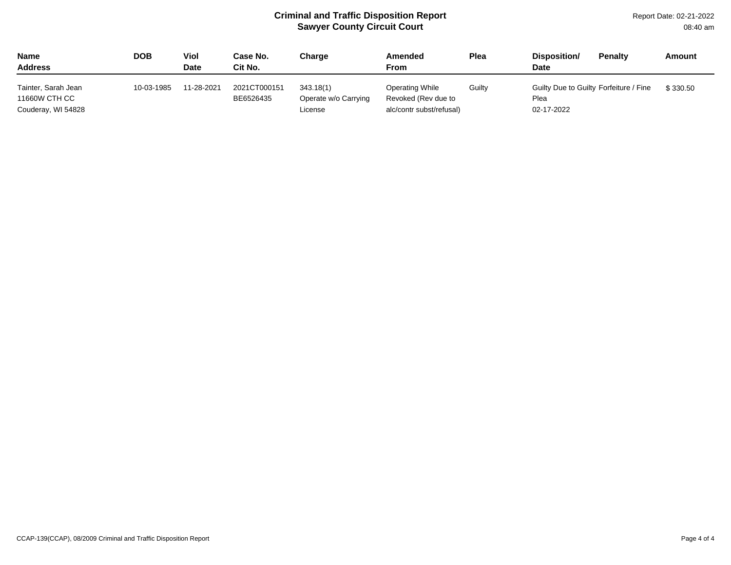Report Date: 02-21-2022 08:40 am

| <b>Name</b><br><b>Address</b>        | DOB        | Viol<br>Date | Case No.<br>Cit No.       | Charge                            | Amended<br>From                               | <b>Plea</b> | Disposition/<br><b>Date</b>                    | <b>Penalty</b> | Amount   |
|--------------------------------------|------------|--------------|---------------------------|-----------------------------------|-----------------------------------------------|-------------|------------------------------------------------|----------------|----------|
| Tainter, Sarah Jean<br>11660W CTH CC | 10-03-1985 | 11-28-2021   | 2021CT000151<br>BE6526435 | 343.18(1)<br>Operate w/o Carrying | <b>Operating While</b><br>Revoked (Rev due to | Guilty      | Guilty Due to Guilty Forfeiture / Fine<br>Plea |                | \$330.50 |
| Couderay, WI 54828                   |            |              |                           | License                           | alc/contr subst/refusal)                      |             | 02-17-2022                                     |                |          |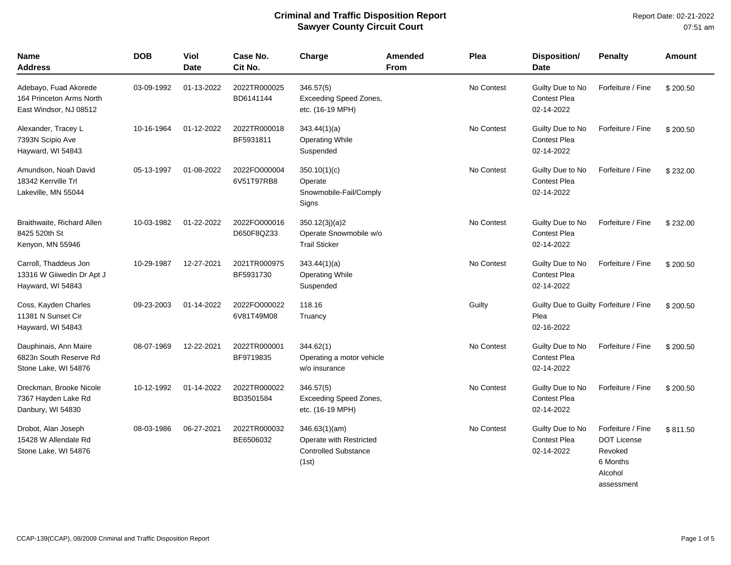| <b>Name</b><br><b>Address</b>                                               | <b>DOB</b> | Viol<br>Date | Case No.<br>Cit No.        | Charge                                                                           | Amended<br>From | Plea       | <b>Disposition/</b><br><b>Date</b>                           | <b>Penalty</b>                                                                          | <b>Amount</b> |
|-----------------------------------------------------------------------------|------------|--------------|----------------------------|----------------------------------------------------------------------------------|-----------------|------------|--------------------------------------------------------------|-----------------------------------------------------------------------------------------|---------------|
| Adebayo, Fuad Akorede<br>164 Princeton Arms North<br>East Windsor, NJ 08512 | 03-09-1992 | 01-13-2022   | 2022TR000025<br>BD6141144  | 346.57(5)<br><b>Exceeding Speed Zones,</b><br>etc. (16-19 MPH)                   |                 | No Contest | Guilty Due to No<br><b>Contest Plea</b><br>02-14-2022        | Forfeiture / Fine                                                                       | \$200.50      |
| Alexander, Tracey L<br>7393N Scipio Ave<br>Hayward, WI 54843                | 10-16-1964 | 01-12-2022   | 2022TR000018<br>BF5931811  | 343.44(1)(a)<br><b>Operating While</b><br>Suspended                              |                 | No Contest | Guilty Due to No<br><b>Contest Plea</b><br>02-14-2022        | Forfeiture / Fine                                                                       | \$200.50      |
| Amundson, Noah David<br>18342 Kerrville Trl<br>Lakeville, MN 55044          | 05-13-1997 | 01-08-2022   | 2022FO000004<br>6V51T97RB8 | 350.10(1)(c)<br>Operate<br>Snowmobile-Fail/Comply<br>Signs                       |                 | No Contest | Guilty Due to No<br><b>Contest Plea</b><br>02-14-2022        | Forfeiture / Fine                                                                       | \$232.00      |
| Braithwaite, Richard Allen<br>8425 520th St<br>Kenyon, MN 55946             | 10-03-1982 | 01-22-2022   | 2022FO000016<br>D650F8QZ33 | 350.12(3j)(a)2<br>Operate Snowmobile w/o<br><b>Trail Sticker</b>                 |                 | No Contest | Guilty Due to No<br><b>Contest Plea</b><br>02-14-2022        | Forfeiture / Fine                                                                       | \$232.00      |
| Carroll, Thaddeus Jon<br>13316 W Giiwedin Dr Apt J<br>Hayward, WI 54843     | 10-29-1987 | 12-27-2021   | 2021TR000975<br>BF5931730  | 343.44(1)(a)<br><b>Operating While</b><br>Suspended                              |                 | No Contest | Guilty Due to No<br><b>Contest Plea</b><br>02-14-2022        | Forfeiture / Fine                                                                       | \$200.50      |
| Coss, Kayden Charles<br>11381 N Sunset Cir<br>Hayward, WI 54843             | 09-23-2003 | 01-14-2022   | 2022FO000022<br>6V81T49M08 | 118.16<br>Truancy                                                                |                 | Guilty     | Guilty Due to Guilty Forfeiture / Fine<br>Plea<br>02-16-2022 |                                                                                         | \$200.50      |
| Dauphinais, Ann Maire<br>6823n South Reserve Rd<br>Stone Lake, WI 54876     | 08-07-1969 | 12-22-2021   | 2022TR000001<br>BF9719835  | 344.62(1)<br>Operating a motor vehicle<br>w/o insurance                          |                 | No Contest | Guilty Due to No<br><b>Contest Plea</b><br>02-14-2022        | Forfeiture / Fine                                                                       | \$200.50      |
| Dreckman, Brooke Nicole<br>7367 Hayden Lake Rd<br>Danbury, WI 54830         | 10-12-1992 | 01-14-2022   | 2022TR000022<br>BD3501584  | 346.57(5)<br>Exceeding Speed Zones,<br>etc. (16-19 MPH)                          |                 | No Contest | Guilty Due to No<br><b>Contest Plea</b><br>02-14-2022        | Forfeiture / Fine                                                                       | \$200.50      |
| Drobot, Alan Joseph<br>15428 W Allendale Rd<br>Stone Lake, WI 54876         | 08-03-1986 | 06-27-2021   | 2022TR000032<br>BE6506032  | 346.63(1)(am)<br>Operate with Restricted<br><b>Controlled Substance</b><br>(1st) |                 | No Contest | Guilty Due to No<br>Contest Plea<br>02-14-2022               | Forfeiture / Fine<br><b>DOT License</b><br>Revoked<br>6 Months<br>Alcohol<br>assessment | \$811.50      |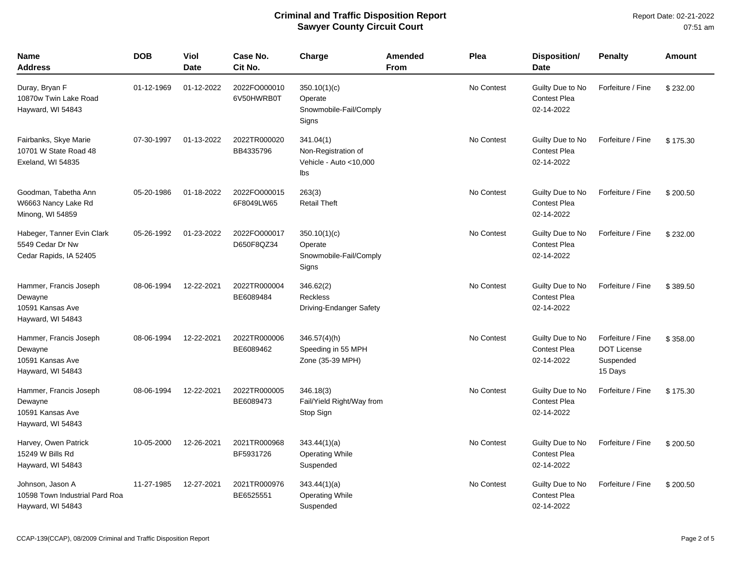| <b>Name</b><br><b>Address</b>                                              | <b>DOB</b> | Viol<br>Date | Case No.<br>Cit No.        | Charge                                                             | Amended<br><b>From</b> | Plea       | Disposition/<br><b>Date</b>                           | <b>Penalty</b>                                                  | <b>Amount</b> |
|----------------------------------------------------------------------------|------------|--------------|----------------------------|--------------------------------------------------------------------|------------------------|------------|-------------------------------------------------------|-----------------------------------------------------------------|---------------|
| Duray, Bryan F<br>10870w Twin Lake Road<br>Hayward, WI 54843               | 01-12-1969 | 01-12-2022   | 2022FO000010<br>6V50HWRB0T | 350.10(1)(c)<br>Operate<br>Snowmobile-Fail/Comply<br>Signs         |                        | No Contest | Guilty Due to No<br><b>Contest Plea</b><br>02-14-2022 | Forfeiture / Fine                                               | \$232.00      |
| Fairbanks, Skye Marie<br>10701 W State Road 48<br>Exeland, WI 54835        | 07-30-1997 | 01-13-2022   | 2022TR000020<br>BB4335796  | 341.04(1)<br>Non-Registration of<br>Vehicle - Auto < 10,000<br>lbs |                        | No Contest | Guilty Due to No<br><b>Contest Plea</b><br>02-14-2022 | Forfeiture / Fine                                               | \$175.30      |
| Goodman, Tabetha Ann<br>W6663 Nancy Lake Rd<br>Minong, WI 54859            | 05-20-1986 | 01-18-2022   | 2022FO000015<br>6F8049LW65 | 263(3)<br><b>Retail Theft</b>                                      |                        | No Contest | Guilty Due to No<br><b>Contest Plea</b><br>02-14-2022 | Forfeiture / Fine                                               | \$200.50      |
| Habeger, Tanner Evin Clark<br>5549 Cedar Dr Nw<br>Cedar Rapids, IA 52405   | 05-26-1992 | 01-23-2022   | 2022FO000017<br>D650F8QZ34 | 350.10(1)(c)<br>Operate<br>Snowmobile-Fail/Comply<br>Signs         |                        | No Contest | Guilty Due to No<br><b>Contest Plea</b><br>02-14-2022 | Forfeiture / Fine                                               | \$232.00      |
| Hammer, Francis Joseph<br>Dewayne<br>10591 Kansas Ave<br>Hayward, WI 54843 | 08-06-1994 | 12-22-2021   | 2022TR000004<br>BE6089484  | 346.62(2)<br><b>Reckless</b><br>Driving-Endanger Safety            |                        | No Contest | Guilty Due to No<br><b>Contest Plea</b><br>02-14-2022 | Forfeiture / Fine                                               | \$389.50      |
| Hammer, Francis Joseph<br>Dewayne<br>10591 Kansas Ave<br>Hayward, WI 54843 | 08-06-1994 | 12-22-2021   | 2022TR000006<br>BE6089462  | $346.57(4)$ (h)<br>Speeding in 55 MPH<br>Zone (35-39 MPH)          |                        | No Contest | Guilty Due to No<br><b>Contest Plea</b><br>02-14-2022 | Forfeiture / Fine<br><b>DOT License</b><br>Suspended<br>15 Days | \$358.00      |
| Hammer, Francis Joseph<br>Dewayne<br>10591 Kansas Ave<br>Hayward, WI 54843 | 08-06-1994 | 12-22-2021   | 2022TR000005<br>BE6089473  | 346.18(3)<br>Fail/Yield Right/Way from<br>Stop Sign                |                        | No Contest | Guilty Due to No<br><b>Contest Plea</b><br>02-14-2022 | Forfeiture / Fine                                               | \$175.30      |
| Harvey, Owen Patrick<br>15249 W Bills Rd<br>Hayward, WI 54843              | 10-05-2000 | 12-26-2021   | 2021TR000968<br>BF5931726  | 343.44(1)(a)<br><b>Operating While</b><br>Suspended                |                        | No Contest | Guilty Due to No<br><b>Contest Plea</b><br>02-14-2022 | Forfeiture / Fine                                               | \$200.50      |
| Johnson, Jason A<br>10598 Town Industrial Pard Roa<br>Hayward, WI 54843    | 11-27-1985 | 12-27-2021   | 2021TR000976<br>BE6525551  | 343.44(1)(a)<br><b>Operating While</b><br>Suspended                |                        | No Contest | Guilty Due to No<br>Contest Plea<br>02-14-2022        | Forfeiture / Fine                                               | \$200.50      |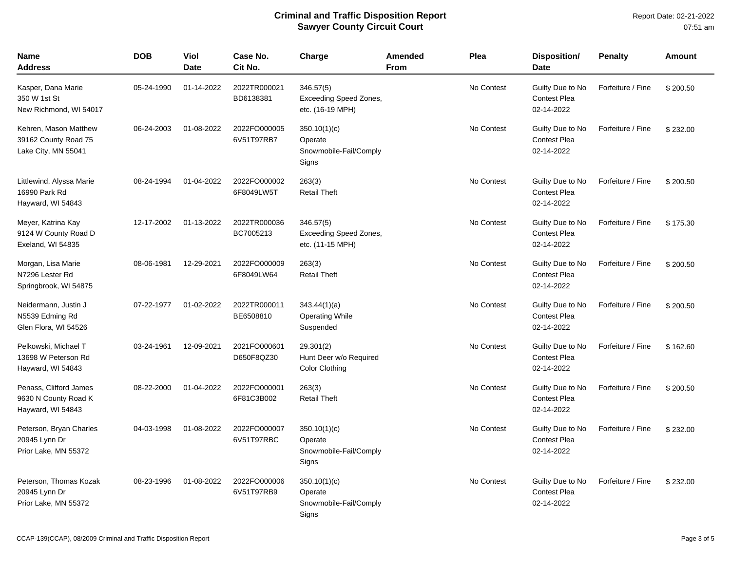| <b>Name</b><br><b>Address</b>                                        | <b>DOB</b> | <b>Viol</b><br><b>Date</b> | Case No.<br>Cit No.        | Charge                                                         | Amended<br><b>From</b> | Plea       | Disposition/<br><b>Date</b>                           | <b>Penalty</b>    | Amount   |
|----------------------------------------------------------------------|------------|----------------------------|----------------------------|----------------------------------------------------------------|------------------------|------------|-------------------------------------------------------|-------------------|----------|
| Kasper, Dana Marie<br>350 W 1st St<br>New Richmond, WI 54017         | 05-24-1990 | 01-14-2022                 | 2022TR000021<br>BD6138381  | 346.57(5)<br><b>Exceeding Speed Zones,</b><br>etc. (16-19 MPH) |                        | No Contest | Guilty Due to No<br><b>Contest Plea</b><br>02-14-2022 | Forfeiture / Fine | \$200.50 |
| Kehren, Mason Matthew<br>39162 County Road 75<br>Lake City, MN 55041 | 06-24-2003 | 01-08-2022                 | 2022FO000005<br>6V51T97RB7 | 350.10(1)(c)<br>Operate<br>Snowmobile-Fail/Comply<br>Signs     |                        | No Contest | Guilty Due to No<br><b>Contest Plea</b><br>02-14-2022 | Forfeiture / Fine | \$232.00 |
| Littlewind, Alyssa Marie<br>16990 Park Rd<br>Hayward, WI 54843       | 08-24-1994 | 01-04-2022                 | 2022FO000002<br>6F8049LW5T | 263(3)<br><b>Retail Theft</b>                                  |                        | No Contest | Guilty Due to No<br>Contest Plea<br>02-14-2022        | Forfeiture / Fine | \$200.50 |
| Meyer, Katrina Kay<br>9124 W County Road D<br>Exeland, WI 54835      | 12-17-2002 | 01-13-2022                 | 2022TR000036<br>BC7005213  | 346.57(5)<br><b>Exceeding Speed Zones,</b><br>etc. (11-15 MPH) |                        | No Contest | Guilty Due to No<br><b>Contest Plea</b><br>02-14-2022 | Forfeiture / Fine | \$175.30 |
| Morgan, Lisa Marie<br>N7296 Lester Rd<br>Springbrook, WI 54875       | 08-06-1981 | 12-29-2021                 | 2022FO000009<br>6F8049LW64 | 263(3)<br><b>Retail Theft</b>                                  |                        | No Contest | Guilty Due to No<br><b>Contest Plea</b><br>02-14-2022 | Forfeiture / Fine | \$200.50 |
| Neidermann, Justin J<br>N5539 Edming Rd<br>Glen Flora, WI 54526      | 07-22-1977 | 01-02-2022                 | 2022TR000011<br>BE6508810  | 343.44(1)(a)<br><b>Operating While</b><br>Suspended            |                        | No Contest | Guilty Due to No<br><b>Contest Plea</b><br>02-14-2022 | Forfeiture / Fine | \$200.50 |
| Pelkowski, Michael T<br>13698 W Peterson Rd<br>Hayward, WI 54843     | 03-24-1961 | 12-09-2021                 | 2021FO000601<br>D650F8QZ30 | 29.301(2)<br>Hunt Deer w/o Required<br><b>Color Clothing</b>   |                        | No Contest | Guilty Due to No<br>Contest Plea<br>02-14-2022        | Forfeiture / Fine | \$162.60 |
| Penass, Clifford James<br>9630 N County Road K<br>Hayward, WI 54843  | 08-22-2000 | 01-04-2022                 | 2022FO000001<br>6F81C3B002 | 263(3)<br><b>Retail Theft</b>                                  |                        | No Contest | Guilty Due to No<br><b>Contest Plea</b><br>02-14-2022 | Forfeiture / Fine | \$200.50 |
| Peterson, Bryan Charles<br>20945 Lynn Dr<br>Prior Lake, MN 55372     | 04-03-1998 | 01-08-2022                 | 2022FO000007<br>6V51T97RBC | 350.10(1)(c)<br>Operate<br>Snowmobile-Fail/Comply<br>Signs     |                        | No Contest | Guilty Due to No<br><b>Contest Plea</b><br>02-14-2022 | Forfeiture / Fine | \$232.00 |
| Peterson, Thomas Kozak<br>20945 Lynn Dr<br>Prior Lake, MN 55372      | 08-23-1996 | 01-08-2022                 | 2022FO000006<br>6V51T97RB9 | 350.10(1)(c)<br>Operate<br>Snowmobile-Fail/Comply<br>Signs     |                        | No Contest | Guilty Due to No<br><b>Contest Plea</b><br>02-14-2022 | Forfeiture / Fine | \$232.00 |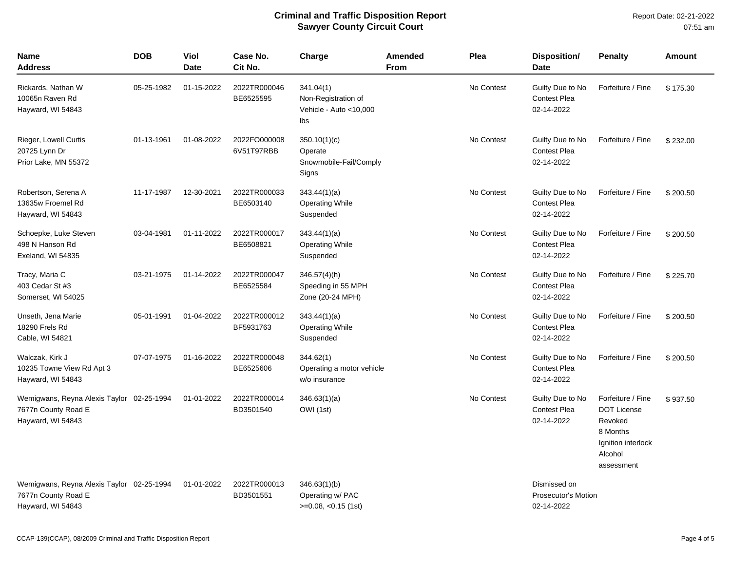| <b>Name</b><br>Address                                                                | <b>DOB</b> | Viol<br><b>Date</b> | Case No.<br>Cit No.        | Charge                                                            | <b>Amended</b><br>From | Plea       | <b>Disposition/</b><br>Date                              | <b>Penalty</b>                                                                                                | Amount   |
|---------------------------------------------------------------------------------------|------------|---------------------|----------------------------|-------------------------------------------------------------------|------------------------|------------|----------------------------------------------------------|---------------------------------------------------------------------------------------------------------------|----------|
| Rickards, Nathan W<br>10065n Raven Rd<br>Hayward, WI 54843                            | 05-25-1982 | 01-15-2022          | 2022TR000046<br>BE6525595  | 341.04(1)<br>Non-Registration of<br>Vehicle - Auto <10,000<br>lbs |                        | No Contest | Guilty Due to No<br><b>Contest Plea</b><br>02-14-2022    | Forfeiture / Fine                                                                                             | \$175.30 |
| Rieger, Lowell Curtis<br>20725 Lynn Dr<br>Prior Lake, MN 55372                        | 01-13-1961 | 01-08-2022          | 2022FO000008<br>6V51T97RBB | 350.10(1)(c)<br>Operate<br>Snowmobile-Fail/Comply<br>Signs        |                        | No Contest | Guilty Due to No<br><b>Contest Plea</b><br>02-14-2022    | Forfeiture / Fine                                                                                             | \$232.00 |
| Robertson, Serena A<br>13635w Froemel Rd<br>Hayward, WI 54843                         | 11-17-1987 | 12-30-2021          | 2022TR000033<br>BE6503140  | 343.44(1)(a)<br><b>Operating While</b><br>Suspended               |                        | No Contest | Guilty Due to No<br><b>Contest Plea</b><br>02-14-2022    | Forfeiture / Fine                                                                                             | \$200.50 |
| Schoepke, Luke Steven<br>498 N Hanson Rd<br>Exeland, WI 54835                         | 03-04-1981 | 01-11-2022          | 2022TR000017<br>BE6508821  | 343.44(1)(a)<br><b>Operating While</b><br>Suspended               |                        | No Contest | Guilty Due to No<br><b>Contest Plea</b><br>02-14-2022    | Forfeiture / Fine                                                                                             | \$200.50 |
| Tracy, Maria C<br>403 Cedar St #3<br>Somerset, WI 54025                               | 03-21-1975 | 01-14-2022          | 2022TR000047<br>BE6525584  | $346.57(4)$ (h)<br>Speeding in 55 MPH<br>Zone (20-24 MPH)         |                        | No Contest | Guilty Due to No<br><b>Contest Plea</b><br>02-14-2022    | Forfeiture / Fine                                                                                             | \$225.70 |
| Unseth, Jena Marie<br>18290 Frels Rd<br>Cable, WI 54821                               | 05-01-1991 | 01-04-2022          | 2022TR000012<br>BF5931763  | 343.44(1)(a)<br><b>Operating While</b><br>Suspended               |                        | No Contest | Guilty Due to No<br><b>Contest Plea</b><br>02-14-2022    | Forfeiture / Fine                                                                                             | \$200.50 |
| Walczak, Kirk J<br>10235 Towne View Rd Apt 3<br>Hayward, WI 54843                     | 07-07-1975 | 01-16-2022          | 2022TR000048<br>BE6525606  | 344.62(1)<br>Operating a motor vehicle<br>w/o insurance           |                        | No Contest | Guilty Due to No<br><b>Contest Plea</b><br>02-14-2022    | Forfeiture / Fine                                                                                             | \$200.50 |
| Wemigwans, Reyna Alexis Taylor 02-25-1994<br>7677n County Road E<br>Hayward, WI 54843 |            | 01-01-2022          | 2022TR000014<br>BD3501540  | 346.63(1)(a)<br>OWI (1st)                                         |                        | No Contest | Guilty Due to No<br><b>Contest Plea</b><br>02-14-2022    | Forfeiture / Fine<br><b>DOT License</b><br>Revoked<br>8 Months<br>Ignition interlock<br>Alcohol<br>assessment | \$937.50 |
| Wemigwans, Reyna Alexis Taylor 02-25-1994<br>7677n County Road E<br>Hayward, WI 54843 |            | 01-01-2022          | 2022TR000013<br>BD3501551  | 346.63(1)(b)<br>Operating w/ PAC<br>$>=0.08, <0.15$ (1st)         |                        |            | Dismissed on<br><b>Prosecutor's Motion</b><br>02-14-2022 |                                                                                                               |          |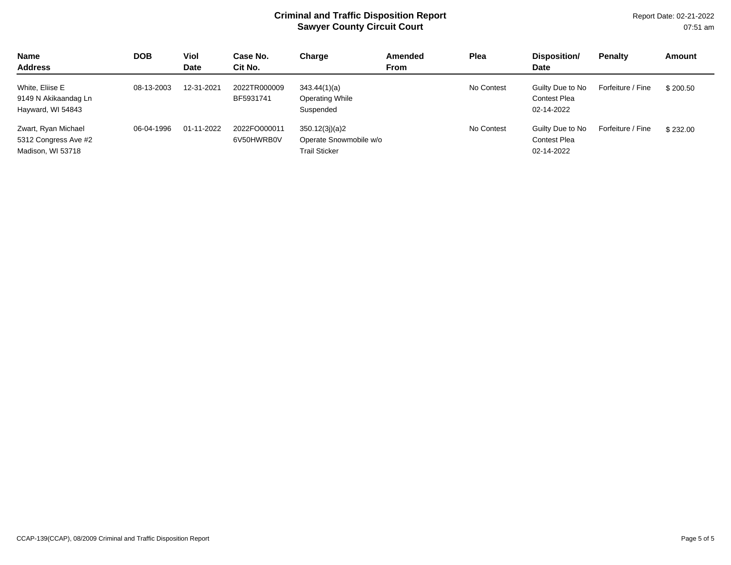Report Date: 02-21-2022 07:51 am

| <b>Name</b><br><b>Address</b>                                    | <b>DOB</b> | Viol<br><b>Date</b> | Case No.<br>Cit No.        | Charge                                                           | Amended<br><b>From</b> | Plea       | Disposition/<br>Date                                  | <b>Penalty</b>    | Amount   |
|------------------------------------------------------------------|------------|---------------------|----------------------------|------------------------------------------------------------------|------------------------|------------|-------------------------------------------------------|-------------------|----------|
| White, Eliise E<br>9149 N Akikaandag Ln<br>Hayward, WI 54843     | 08-13-2003 | 12-31-2021          | 2022TR000009<br>BF5931741  | 343.44(1)(a)<br>Operating While<br>Suspended                     |                        | No Contest | Guilty Due to No<br><b>Contest Plea</b><br>02-14-2022 | Forfeiture / Fine | \$200.50 |
| Zwart, Ryan Michael<br>5312 Congress Ave #2<br>Madison, WI 53718 | 06-04-1996 | 01-11-2022          | 2022FO000011<br>6V50HWRB0V | 350.12(3j)(a)2<br>Operate Snowmobile w/o<br><b>Trail Sticker</b> |                        | No Contest | Guilty Due to No<br><b>Contest Plea</b><br>02-14-2022 | Forfeiture / Fine | \$232.00 |